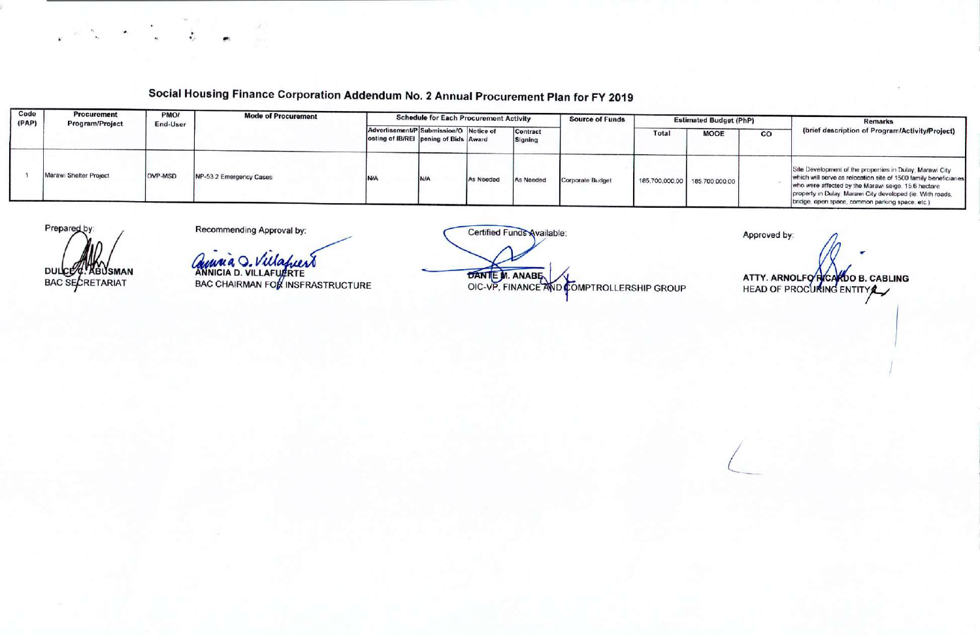## **Social Housing Finance Corporation Addendum No.2 Annual Procurement Plan for FY 2019**

| Code<br>(PAP) | Procurement<br><b>Program/Project</b> | PMO/<br>End-User | <b>Mode of Procurement</b> | <b>Schedule for Each Procurement Activity</b>                                   |     |           |                     | <b>Source of Funds</b> | <b>Estimated Budget (PhP)</b> |                               |    | <b>Remarks</b>                                                                                                                                                                                                                                                                                      |
|---------------|---------------------------------------|------------------|----------------------------|---------------------------------------------------------------------------------|-----|-----------|---------------------|------------------------|-------------------------------|-------------------------------|----|-----------------------------------------------------------------------------------------------------------------------------------------------------------------------------------------------------------------------------------------------------------------------------------------------------|
|               |                                       |                  |                            | Advertisement/P Submission/O Notice of<br>osting of IB/REI pening of Bids Award |     |           | Contract<br>Signing |                        | Total                         | <b>MOOE</b>                   | CO | (brief description of Program/Activity/Project)                                                                                                                                                                                                                                                     |
|               | Marawi Shelter Project                | <b>OVP-MSD</b>   | NP-53.2 Emergency Cases    | <b>N/A</b>                                                                      | N/A | As Needed | As Needed           | Corporate Budget       |                               | 185,700,000.00 185,700,000.00 |    | Site Development of the properties in Dulay, Marawi City<br>which will serve as relocation site of 1500 family beneficiaries<br>who were affected by the Marawi seige. 15.6 hectare<br>property in Dulay, Marawi City developed (ie. With roads,<br>bridge, open space, common parking space, etc.) |

Prepared by **DULCE** ABUSMAN BAC SECRETARIAT

 $\mathbf{v} = \mathbf{v} - \mathbf{v}$ 

Recommending Approval by:

*12~\_';4J***4 0\_** *tI-td~* **"NNiCiA D. VILLAF**

BAC CHAIRMAN FO

**BANTE M. ANABE WE COMPTROLLERSHIP GROUP** 

Approved by: **ATTY. ARNOLFO RICARDO B. CABLING** HEAD OF PROCURING ENTITY

*L*

I

*I*